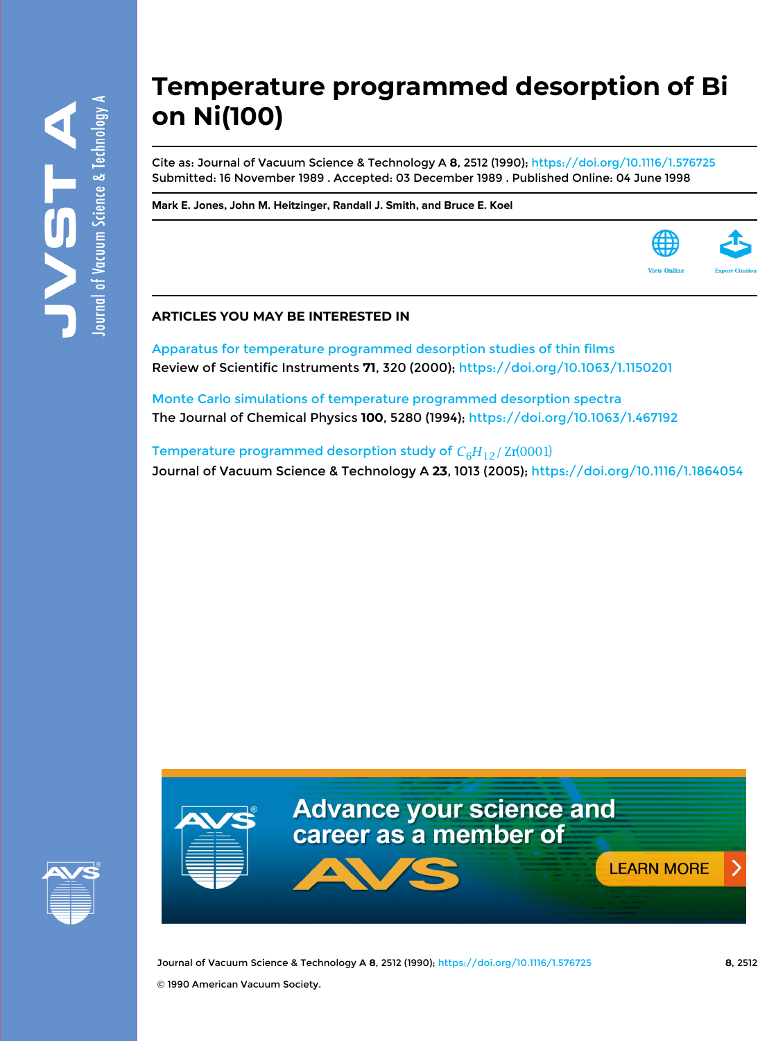# **Temperature programmed desorption of Bi on Ni(100)**

Cite as: Journal of Vacuum Science & Technology A **8**, 2512 (1990); <https://doi.org/10.1116/1.576725> Submitted: 16 November 1989 . Accepted: 03 December 1989 . Published Online: 04 June 1998

**[Mark E. Jones,](https://avs.scitation.org/author/Jones%2C+Mark+E) [John M. Heitzinger](https://avs.scitation.org/author/Heitzinger%2C+John+M), [Randall J. Smith](https://avs.scitation.org/author/Smith%2C+Randall+J), and [Bruce E. Koel](https://avs.scitation.org/author/Koel%2C+Bruce+E)**

### **ARTICLES YOU MAY BE INTERESTED IN**

[Apparatus for temperature programmed desorption studies of thin films](https://avs.scitation.org/doi/10.1063/1.1150201) Review of Scientific Instruments **71**, 320 (2000);<https://doi.org/10.1063/1.1150201>

[Monte Carlo simulations of temperature programmed desorption spectra](https://avs.scitation.org/doi/10.1063/1.467192) The Journal of Chemical Physics **100**, 5280 (1994);<https://doi.org/10.1063/1.467192>

[Temperature programmed desorption study of](https://avs.scitation.org/doi/10.1116/1.1864054)  $C_6H_{12}/Zr(0001)$ Journal of Vacuum Science & Technology A **23**, 1013 (2005); <https://doi.org/10.1116/1.1864054>





Journal of Vacuum Science & Technology A **8**, 2512 (1990); <https://doi.org/10.1116/1.576725> **8**, 2512 © 1990 American Vacuum Society.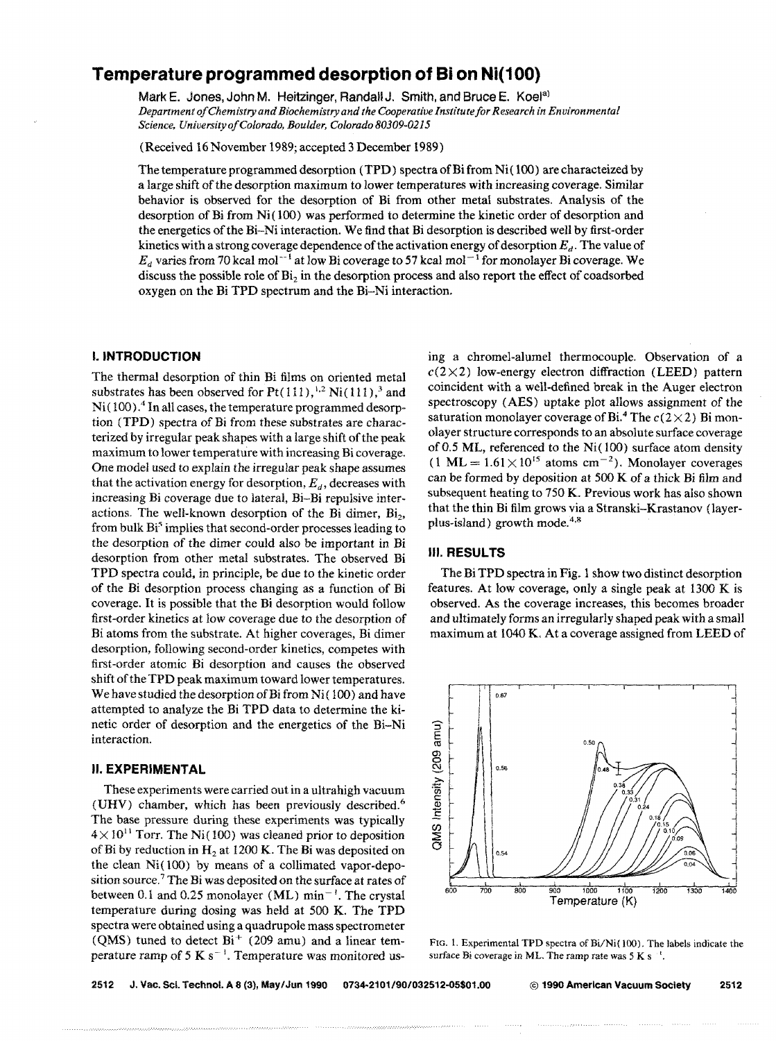## **Temperature programmed desorption of Bi on Ni(1 00)**

Mark E. Jones, John M. Heitzinger, Randall J. Smith, and Bruce E. Koel<sup>a)</sup> Department of Chemistry and Biochemistry and the Cooperative Institute for Research in Environmental *Science, Universityo/Colorado, Boulder, Colorado 80309-0215* 

(Received 16 November 1989; accepted 3 December 1989)

The temperature programmed desorption (TPD) spectra of Bi from Ni (100) are characteized by a large shift of the desorption maximum to lower temperatures with increasing coverage. Similar behavior is observed for the desorption of Bi from other metal substrates. Analysis of the desorption of Bi from Ni(100) was performed to determine the kinetic order of desorption and the energetics of the Bi-Ni interaction. We find that Bi desorption is described well by first-order kinetics with a strong coverage dependence of the activation energy of desorption  $E<sub>d</sub>$ . The value of  $E<sub>a</sub>$  varies from 70 kcal mol<sup>-1</sup> at low Bi coverage to 57 kcal mol<sup>-1</sup> for monolayer Bi coverage. We discuss the possible role of  $Bi<sub>2</sub>$  in the desorption process and also report the effect of coadsorbed oxygen on the Bi TPD spectrum and the Bi-Ni interaction.

#### I. **INTRODUCTION**

The thermal desorption of thin Bi films on oriented metal substrates has been observed for  $Pt(111)$ ,<sup>1,2</sup> Ni(111),<sup>3</sup> and  $Ni(100)$ .<sup>4</sup> In all cases, the temperature programmed desorption (TPD) spectra of Bi from these substrates are characterized by irregular peak shapes with a large shift of the peak maximum to lower temperature with increasing Bi coverage. One model used to explain the irregular peak shape assumes that the activation energy for desorption,  $E_d$ , decreases with increasing Bi coverage due to lateral, Bi-Bi repulsive interactions. The well-known desorption of the Bi dimer,  $Bi<sub>2</sub>$ , from bulk Bi<sup>5</sup> implies that second-order processes leading to the desorption of the dimer could also be important in Bi desorption from other metal substrates. The observed Bi TPD spectra could. in principle, be due to the kinetic order of the Bi desorption process changing as a function of Bi coverage. It is possible that the Bi desorption would follow first-order kinetics at low coverage due to the desorption of Bi atoms from the substrate. At higher coverages, Bi dimer desorption, following second-order kinetics, competes with first-order atomic Bi desorption and causes the observed shift of the TPD peak maximum toward lower temperatures. We have studied the desorption of Bi from Ni $(100)$  and have attempted to analyze the Bi TPD data to determine the kinetic order of desorption and the energetics of the Bi-Ni interaction.

#### II. **EXPERIMENTAL**

These experiments were carried out in a ultrahigh vacuum (UHV) chamber, which has been previously described. <sup>6</sup> The base pressure during these experiments was typically  $4 \times 10^{11}$  Torr. The Ni(100) was cleaned prior to deposition of Bi by reduction in  $H<sub>2</sub>$  at 1200 K. The Bi was deposited on the clean Ni( 100) by means of a collimated vapor-deposition source,<sup>7</sup> The Bi was deposited on the surface at rates of between 0.1 and 0.25 monolayer (ML)  $min^{-1}$ . The crystal temperature during dosing was held at 500 K. The TPD spectra were obtained using a quadrupole mass spectrometer (QMS) tuned to detect  $Bi^+$  (209 amu) and a linear temperature ramp of 5 K s<sup> $-1$ </sup>. Temperature was monitored using a chromel-alumel thermocouple. Observation of a  $c(2\times2)$  low-energy electron diffraction (LEED) pattern coincident with a well-defined break in the Auger electron spectroscopy (AES) uptake plot allows assignment of the saturation monolayer coverage of Bi.<sup>4</sup> The  $c(2\times2)$  Bi monolayer structure corresponds to an absolute surface coverage of 0.5 ML, referenced to the Ni(100) surface atom density  $(1 \text{ ML} = 1.61 \times 10^{15} \text{ atoms cm}^{-2})$ . Monolayer coverages can be formed by deposition at 500 K of a thick Bi film and subsequent heating to 750 K. Previous work has also shown that the thin Bi film grows via a Stranski-Krastanov (layerplus-island) growth mode.<sup>4,8</sup>

#### III. RESULTS

The Bi TPD spectra in Fig. 1 show two distinct desorption features. At low coverage, only a single peak at 1300 K is observed. As the coverage increases, this becomes broader and ultimately forms an irregularly shaped peak with a small maximum at 1040 K. At a coverage assigned from LEED of



FIG. 1. Experimental TPD spectra of Bi/Ni(100). The labels indicate the surface Bi coverage in ML. The ramp rate was 5 K s<sup>-1</sup>.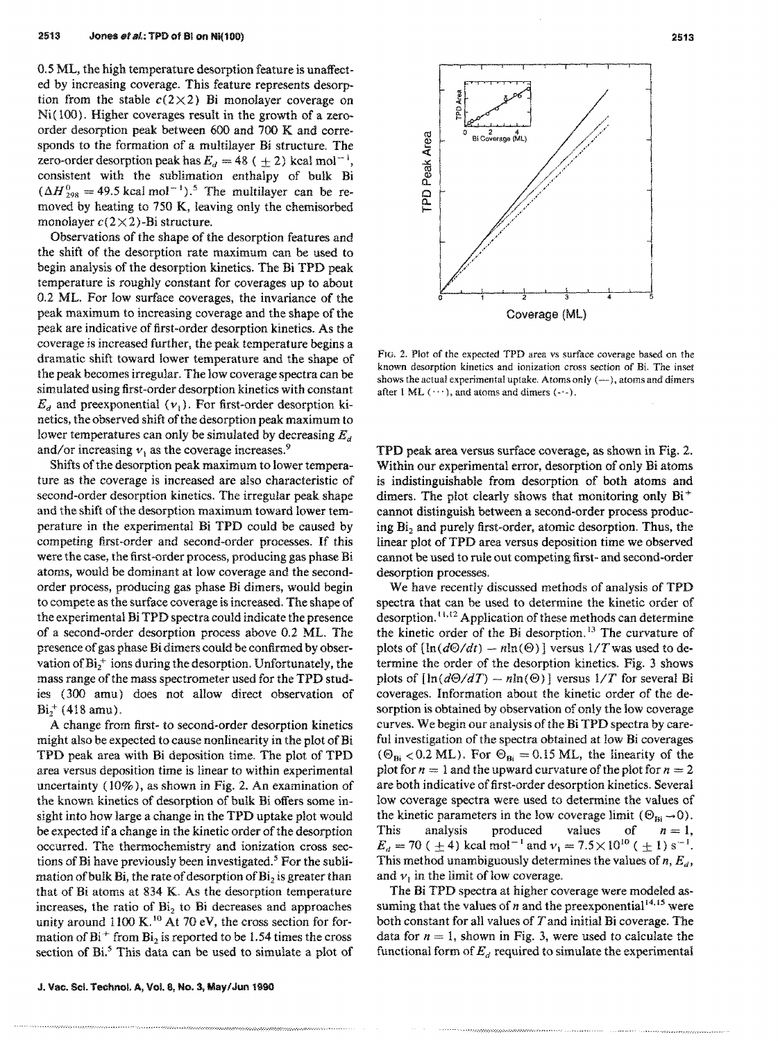0.5 ML, the high temperature desorption feature is unaffected by increasing coverage. This feature represents desorption from the stable  $c(2\times2)$  Bi monolayer coverage on Ni(100). Higher coverages result in the growth of a zeroorder desorption peak between 600 and 700 K and corresponds to the formation of a multilayer Bi structure. The zero-order desorption peak has  $E_d = 48$  ( $\pm 2$ ) kcal mol<sup>-1</sup>, consistent with the sublimation enthalpy of bulk Hi  $(\Delta H_{298}^0 = 49.5 \text{ kcal mol}^{-1})$ .<sup>5</sup> The multilayer can be removed by heating to 750 K, leaving only the chemisorbed monolayer  $c(2\times2)$ -Bi structure.

Observations of the shape of the desorption features and the shift of the desorption rate maximum can be used to begin analysis of the desorption kinetics. The Bi TPD peak temperature is roughly constant for coverages up to about 0.2 ML. For low surface coverages, the invariance of the peak maximum to increasing coverage and the shape of the peak are indicative of first-order desorption kinetics. As the coverage is increased further, the peak temperature begins a dramatic shift toward lower temperature and the shape of the peak becomes irregular. The low coverage spectra can be simulated using first-order desorption kinetics with constant  $E_d$  and preexponential  $(v_i)$ . For first-order desorption kinetics, the observed shift of the desorption peak maximum to lower temperatures can only be simulated by decreasing  $E_d$ and/or increasing  $v_1$  as the coverage increases.<sup>9</sup>

Shifts of the desorption peak maximum to lower temperature as the coverage is increased are also characteristic of second-order desorption kinetics. The irregular peak shape and the shift of the desorption maximum toward lower temperature in the experimental Bi TPD could be caused by competing first-order and second-order processes. If this were the case, the first-order process, producing gas phase Bi atoms, would be dominant at low coverage and the secondorder process, producing gas phase Bi dimers, would begin to compete as the surface coverage is increased. The shape of the experimental Bi TPD spectra could indicate the presence of a second-order desorption process above 0.2 ML. The presence of gas phase Bi dimers could be confirmed by observation of  $Bi_2^+$  ions during the desorption. Unfortunately, the mass range of the mass spectrometer used for the TPD studies (300 amu) does not allow direct observation of  $Bi_7^+ (418 amu)$ .

A change from first- to second-order desorption kinetics might also be expected to cause nonlinearity in the plot of Bi TPD peak area with Bi deposition time. The plot of TPD area versus deposition time is linear to within experimental uncertainty (10%), as shown in Fig. 2. An examination of the known kinetics of desorption of bulk Bi offers some insight into how large a change in the TPD uptake plot would be expected if a change in the kinetic order of the desorption occurred. The thermochemistry and ionization cross sections of Bi have previously been investigated. 5 For the sublimation of bulk Bi, the rate of desorption of  $Bi<sub>2</sub>$  is greater than that of Bi atoms at 834 K. As the desorption temperature increases, the ratio of  $Bi<sub>2</sub>$  to Bi decreases and approaches unity around 1100 K.<sup>10</sup> At 70 eV, the cross section for formation of  $Bi^+$  from  $Bi_2$  is reported to be 1.54 times the cross section of Bi.<sup>5</sup> This data can be used to simulate a plot of

.•..... -.-.:.;.; .................. ;.;.;.; ........•.•... ' ... ~ ... :.:.:.:.; ........•...•.. ;



FIG. 2. Plot of the expected TPD area vs surface coverage based on the known desorption kinetics and ionization cross section of Bi. The inset shows the actual experimental uptake. Atoms only  $(-)$ , atoms and dimers after 1 ML  $(\cdots)$ , and atoms and dimers  $(\cdots)$ .

TPD peak area versus surface coverage, as shown in Fig. 2. Within our experimental error, desorption of only Bi atoms is indistinguishable from desorption of both atoms and dimers. The plot clearly shows that monitoring only  $Bi^+$ cannot distinguish between a second-order process producing  $Bi<sub>2</sub>$  and purely first-order, atomic desorption. Thus, the linear plot of TPD area versus deposition time we observed cannot be used to rule out competing first- and second-order desorption processes.

We have recently discussed methods of analysis of TPD spectra that can be used to determine the kinetic order of desorption.<sup>11,12</sup> Application of these methods can determine the kinetic order of the Bi desorption.<sup>13</sup> The curvature of plots of  $[\ln(d\Theta/dt) - n\ln(\Theta)]$  versus  $1/T$  was used to determine the order of the desorption kinetics. Fig. 3 shows plots of  $[\ln(d\Theta/dT) - n\ln(\Theta)]$  versus  $1/T$  for several Bi coverages. Information about the kinetic order of the desorption is obtained by observation of only the low coverage curves. We begin our analysis of the Bi TPD spectra by careful investigation of the spectra obtained at low Bi coverages ( $\Theta_{\text{Bi}}$  < 0.2 ML). For  $\Theta_{\text{Bi}}$  = 0.15 ML, the linearity of the plot for  $n = 1$  and the upward curvature of the plot for  $n = 2$ are both indicative of first-order desorption kinetics. Several low coverage spectra were used to determine the values of the kinetic parameters in the low coverage limit ( $\Theta_{\rm ni} \rightarrow 0$ ). This analysis produced values of  $n = 1$ ,  $E_d = 70$  ( $\pm 4$ ) kcal mol<sup>-1</sup> and  $v_1 = 7.5 \times 10^{10}$  ( $\pm 1$ ) s<sup>-1</sup>. This method unambiguously determines the values of  $n$ ,  $E_d$ , and  $\nu$ , in the limit of low coverage.

The Bi TPD spectra at higher coverage were modeled assuming that the values of  $n$  and the preexponential<sup>14,15</sup> were both constant for all values of Tand initial Bi coverage. The data for  $n = 1$ , shown in Fig. 3, were used to calculate the functional form of  $E_d$  required to simulate the experimental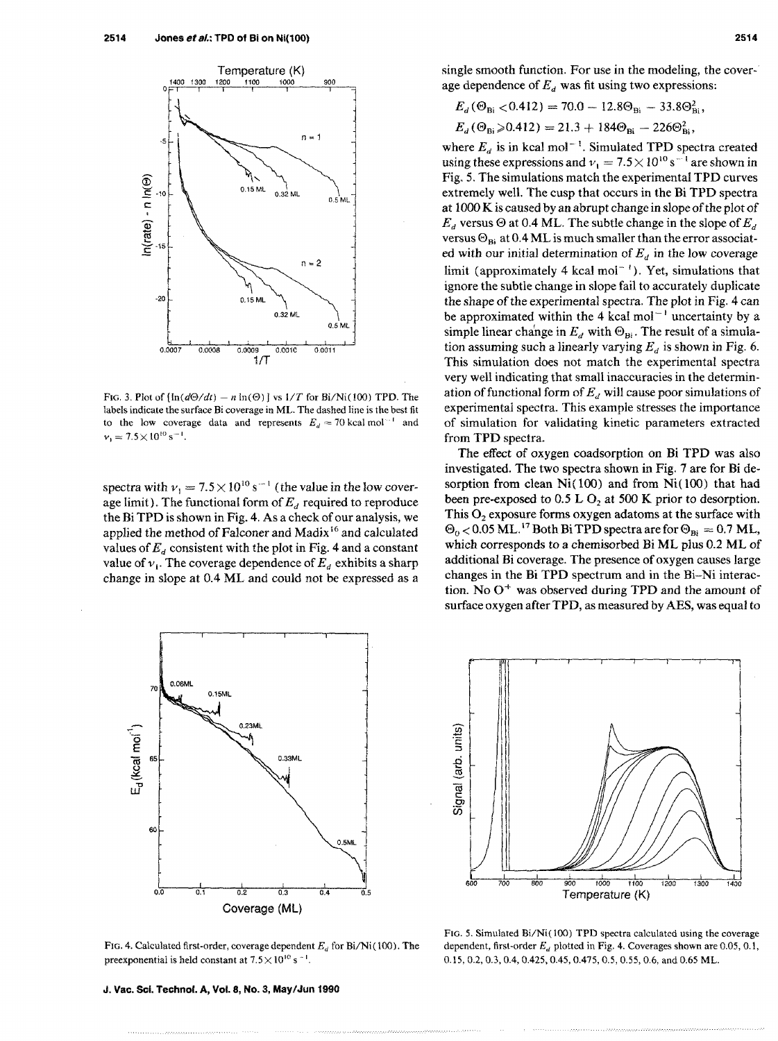

FIG. 3. Plot of  $[\ln(d\Theta/dt) - n \ln(\Theta)]$  vs  $1/T$  for Bi/Ni(100) TPD. The labels indicate the surface Bi coverage in ML. The dashed line is the best fit to the low coverage data and represents  $E_d = 70$  kcal mol<sup>-1</sup> and  $v_1 = 7.5 \times 10^{10} \text{ s}^{-1}$ .

spectra with  $v_1 = 7.5 \times 10^{10} \text{ s}^{-1}$  (the value in the low coverage limit). The functional form of  $E_d$  required to reproduce the Bi TPD is shown in Fig. 4. As a check of our analysis, we applied the method of Falconer and Madix 16 and calculated values of  $E<sub>d</sub>$  consistent with the plot in Fig. 4 and a constant value of  $v_i$ . The coverage dependence of  $E_d$  exhibits a sharp change in slope at 0.4 ML and could not be expressed as a



FIG. 4. Calculated first-order, coverage dependent  $E_d$  for Bi/Ni(100). The preexponential is held constant at  $7.5 \times 10^{10}$  s<sup>-1</sup>.

$$
E_d(\Theta_{\text{Bi}} < 0.412) = 70.0 - 12.8\Theta_{\text{Bi}} - 33.8\Theta_{\text{Bi}}^2,
$$

 $E_d$  ( $\Theta_{\text{Bi}} > 0.412$ ) = 21.3 + 184 $\Theta_{\text{Bi}} - 226 \Theta_{\text{Bi}}^2$ ,

where  $E_d$  is in kcal mol<sup>-1</sup>. Simulated TPD spectra created using these expressions and  $v_1 = 7.5 \times 10^{10} \text{ s}^{-1}$  are shown in Fig. 5. The simulations match the experimental TPD curves extremely well. The cusp that occurs in the Bi TPD spectra at 1000 K is caused by an abrupt change in slope of the plot of  $E<sub>d</sub>$  versus  $\Theta$  at 0.4 ML. The subtle change in the slope of  $E<sub>d</sub>$ versus  $\Theta_{\text{Bi}}$  at 0.4 ML is much smaller than the error associated with our initial determination of  $E_d$  in the low coverage limit (approximately 4 kcal mol<sup> $-1$ </sup>). Yet, simulations that ignore the subtle change in slope fail to accurately duplicate the shape of the experimental spectra. The plot in Fig. 4 can be approximated within the 4 kcal mol<sup> $-1$ </sup> uncertainty by a simple linear change in  $E_d$  with  $\Theta_{\text{Bi}}$ . The result of a simulation assuming such a linearly varying  $E_d$  is shown in Fig. 6. This simulation does not match the experimental spectra very well indicating that small inaccuracies in the determination of functional form of *Ed* will cause poor simulations of experimental spectra. This example stresses the importance of simulation for validating kinetic parameters extracted from TPD spectra.

The effect of oxygen coadsorption on Bi TPD was also investigated. The two spectra shown in Fig. 7 are for Bi desorption from clean Ni( 100) and from Ni( 100) that had been pre-exposed to 0.5 L  $O<sub>2</sub>$  at 500 K prior to desorption. This  $O<sub>2</sub>$  exposure forms oxygen adatoms at the surface with  $\Theta_0$  < 0.05 ML.<sup>17</sup> Both Bi TPD spectra are for  $\Theta_{\text{Bi}} = 0.7$  ML, which corresponds to a chemisorbed Bi ML plus 0.2 ML of additional Bi coverage. The presence of oxygen causes large changes in the Bi TPD spectrum and in the Bi-Ni interaction. No  $O<sup>+</sup>$  was observed during TPD and the amount of surface oxygen after TPD, as measured by AES, was equal to



FIG. 5. Simulated Bi/Ni(100) TPD spectra calculated using the coverage dependent, first-order  $E_d$  plotted in Fig. 4. Coverages shown are 0.05, 0.1, 0.15,0.2,0.3,0.4,0.425,0.45,0.475,0.5,0.55,0.6, and 0.65 ML.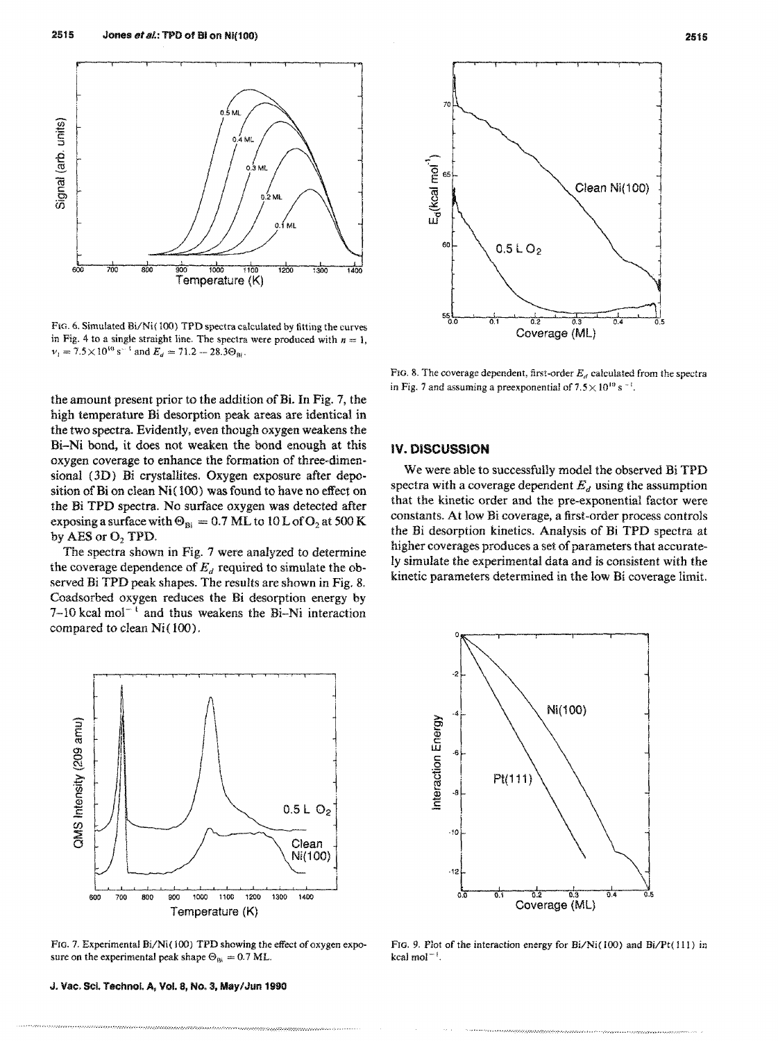

FIG. 6. Simulated Bi/Ni(100) TPD spectra calculated by fitting the curves in Fig. 4 to a single straight line. The spectra were produced with  $n = 1$ ,  $v_1 = 7.5 \times 10^{10} \text{ s}^{-1}$  and  $E_a = 71.2 - 28.3 \Theta_{\text{Bi}}$ .

the amount present prior to the addition of Bi. In Fig. 7, the high temperature Bi desorption peak areas are identical in the two spectra. Evidently, even though oxygen weakens the Bi-Ni bond, it does not weaken the bond enough at this oxygen coverage to enhance the formation of three-dimensional (3D) Bi crystallites. Oxygen exposure after deposition of Bi on clean Ni(100) was found to have no effect on the Bi TPD spectra. No surface oxygen was detected after exposing a surface with  $\Theta_{Bi} = 0.7$  ML to 10 L of O<sub>2</sub> at 500 K by AES or  $O<sub>2</sub>$  TPD.

The spectra shown in Fig. 7 were analyzed to determine the coverage dependence of  $E_d$  required to simulate the observed Bi TPD peak shapes. The results are shown in Fig. 8. Coadsorbed oxygen reduces the Bi desorption energy by 7-10 kcal mol<sup>-t</sup> and thus weakens the Bi-Ni interaction compared to clean Ni( 100).



FIG. 7. Experimental Bi/Ni(100) TPD showing the effect of oxygen exposure on the experimental peak shape  $\Theta_{\rm B} = 0.7$  ML.

... '.' ........... ;.;.; ....... ,..' ....•.... -... :.;................ . ............ ,. ......... :.~.: ....... '.';' ..... :.:.;.;.;.;' .....• ,' ...... .

J. Vac, Sci. Technol. A, Vol. 8, No.3, MaylJun 1990



FIG. 8. The coverage dependent, first-order  $E_d$  calculated from the spectra in Fig. 7 and assuming a preexponential of  $7.5 \times 10^{10}$  s<sup>-1</sup>.

#### IV. DISCUSSION

We were able to successfully model the observed Bi TPD spectra with a coverage dependent  $E_d$  using the assumption that the kinetic order and the pre-exponential factor were constants. At low Bi coverage, a first-order process controls the Bi desorption kinetics. Analysis of Bi TPD spectra at higher coverages produces a set of parameters that accurately simulate the experimental data and is consistent with the kinetic parameters determined in the low Bi coverage limit.



FIG. 9. Plot of the interaction energy for Bi/Ni(100) and Bi/Pt(111) in kcal mol $^{-1}$ .